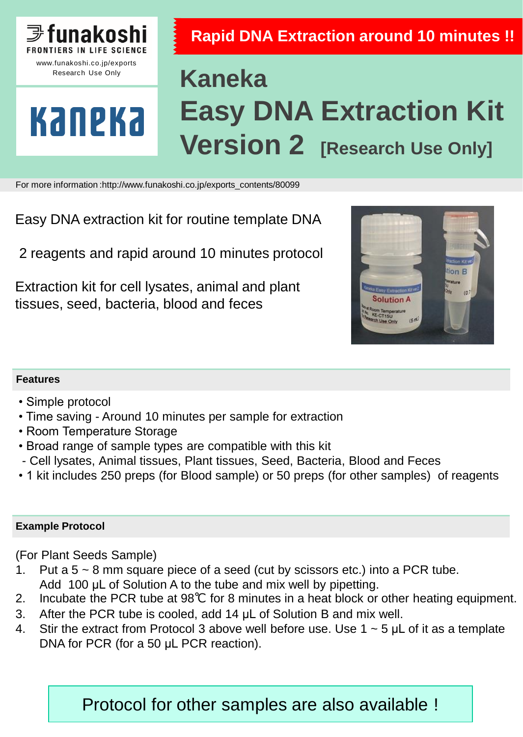

Research Use Only

Kaneka

## **Rapid DNA Extraction around 10 minutes !!**

# **Kaneka Easy DNA Extraction Kit Version 2 [Research Use Only]**

For more information :http://www.funakoshi.co.jp/exports\_contents/80099

Easy DNA extraction kit for routine template DNA

2 reagents and rapid around 10 minutes protocol

Extraction kit for cell lysates, animal and plant tissues, seed, bacteria, blood and feces



#### **Features**

- Simple protocol
- Time saving Around 10 minutes per sample for extraction
- Room Temperature Storage
- Broad range of sample types are compatible with this kit
- Cell lysates, Animal tissues, Plant tissues, Seed, Bacteria, Blood and Feces
- 1 kit includes 250 preps (for Blood sample) or 50 preps (for other samples) of reagents

#### **Example Protocol**

(For Plant Seeds Sample)

- 1. Put a  $5 \sim 8$  mm square piece of a seed (cut by scissors etc.) into a PCR tube. Add 100 μL of Solution A to the tube and mix well by pipetting.
- 2. Incubate the PCR tube at 98℃ for 8 minutes in a heat block or other heating equipment.
- 3. After the PCR tube is cooled, add 14 μL of Solution B and mix well.
- 4. Stir the extract from Protocol 3 above well before use. Use  $1 \sim 5$  µL of it as a template DNA for PCR (for a 50 μL PCR reaction).

Protocol for other samples are also available !